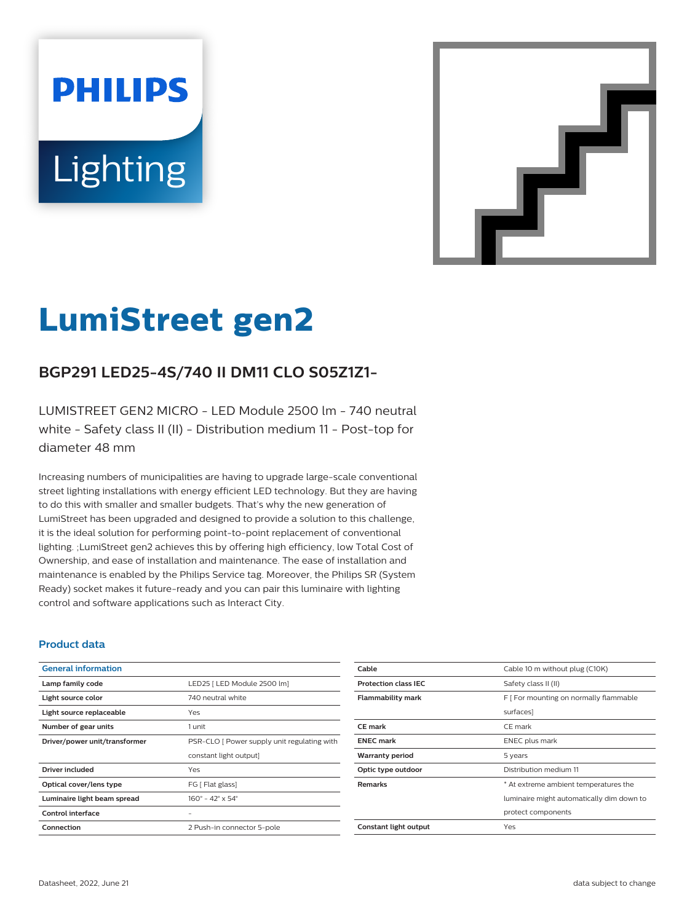# **PHILIPS** Lighting



# **LumiStreet gen2**

# **BGP291 LED25-4S/740 II DM11 CLO S05Z1Z1-**

LUMISTREET GEN2 MICRO - LED Module 2500 lm - 740 neutral white - Safety class II (II) - Distribution medium 11 - Post-top for diameter 48 mm

Increasing numbers of municipalities are having to upgrade large-scale conventional street lighting installations with energy efficient LED technology. But they are having to do this with smaller and smaller budgets. That's why the new generation of LumiStreet has been upgraded and designed to provide a solution to this challenge, it is the ideal solution for performing point-to-point replacement of conventional lighting. ;LumiStreet gen2 achieves this by offering high efficiency, low Total Cost of Ownership, and ease of installation and maintenance. The ease of installation and maintenance is enabled by the Philips Service tag. Moreover, the Philips SR (System Ready) socket makes it future-ready and you can pair this luminaire with lighting control and software applications such as Interact City.

#### **Product data**

| <b>General information</b>    |                                              |  |
|-------------------------------|----------------------------------------------|--|
| Lamp family code              | LED25   LED Module 2500 lm]                  |  |
| Light source color            | 740 neutral white                            |  |
| Light source replaceable      | Yes                                          |  |
| Number of gear units          | 1 unit                                       |  |
| Driver/power unit/transformer | PSR-CLO [ Power supply unit regulating with  |  |
|                               | constant light output]                       |  |
| <b>Driver included</b>        | Yes                                          |  |
| Optical cover/lens type       | FG [ Flat glass]                             |  |
| Luminaire light beam spread   | $160^{\circ} - 42^{\circ} \times 54^{\circ}$ |  |
| Control interface             |                                              |  |
| Connection                    | 2 Push-in connector 5-pole                   |  |

| Cable                       | Cable 10 m without plug (C10K)            |  |
|-----------------------------|-------------------------------------------|--|
| <b>Protection class IEC</b> | Safety class II (II)                      |  |
| <b>Flammability mark</b>    | F [ For mounting on normally flammable    |  |
|                             | surfaces]                                 |  |
| CE mark                     | CE mark                                   |  |
| <b>ENEC mark</b>            | <b>ENEC</b> plus mark                     |  |
| <b>Warranty period</b>      | 5 years                                   |  |
| Optic type outdoor          | Distribution medium 11                    |  |
| <b>Remarks</b>              | * At extreme ambient temperatures the     |  |
|                             | luminaire might automatically dim down to |  |
|                             | protect components                        |  |
| Constant light output       | Yes                                       |  |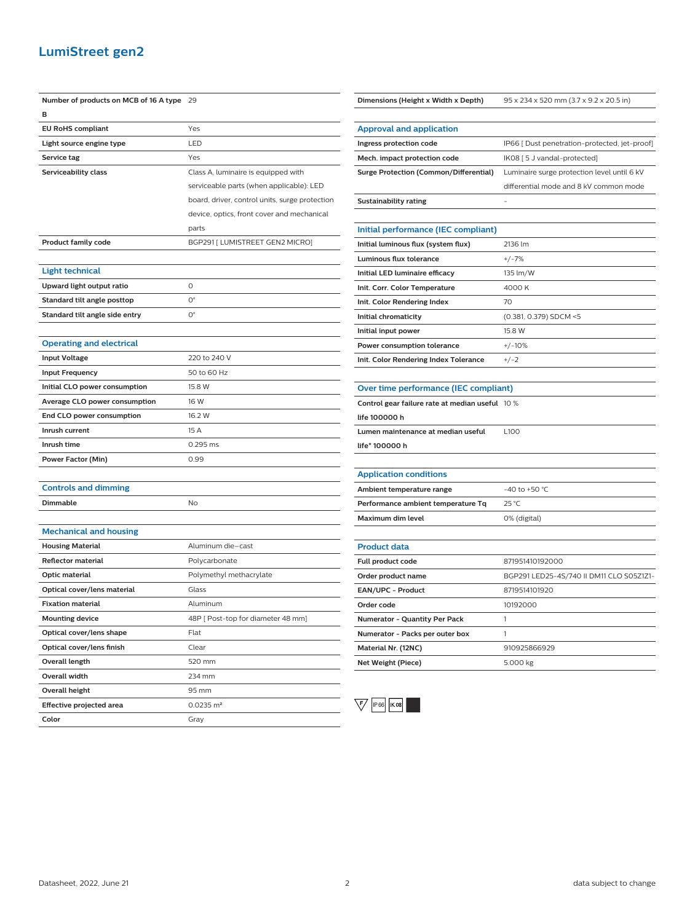### **LumiStreet gen2**

| Number of products on MCB of 16 A type 29 |                                                | Dimensions (Height x Width x Depth)             | 95 x 234 x 520 mm (3.7 x 9.2 x 20.5 in)       |
|-------------------------------------------|------------------------------------------------|-------------------------------------------------|-----------------------------------------------|
| в                                         |                                                |                                                 |                                               |
| <b>EU RoHS compliant</b>                  | Yes                                            | <b>Approval and application</b>                 |                                               |
| Light source engine type                  | LED                                            | Ingress protection code                         | IP66 [ Dust penetration-protected, jet-proof] |
| Service tag                               | Yes                                            | Mech. impact protection code                    | IK08 [5 J vandal-protected]                   |
| Serviceability class                      | Class A, luminaire is equipped with            | <b>Surge Protection (Common/Differential)</b>   | Luminaire surge protection level until 6 kV   |
|                                           | serviceable parts (when applicable): LED       |                                                 | differential mode and 8 kV common mode        |
|                                           | board, driver, control units, surge protection | <b>Sustainability rating</b>                    |                                               |
|                                           | device, optics, front cover and mechanical     |                                                 |                                               |
|                                           | parts                                          | Initial performance (IEC compliant)             |                                               |
| <b>Product family code</b>                | BGP291 [ LUMISTREET GEN2 MICRO]                | Initial luminous flux (system flux)             | 2136 lm                                       |
|                                           |                                                | <b>Luminous flux tolerance</b>                  | $+/-7%$                                       |
| Light technical                           |                                                | Initial LED luminaire efficacy                  | 135 lm/W                                      |
| Upward light output ratio                 | $\circ$                                        | Init. Corr. Color Temperature                   | 4000 K                                        |
| Standard tilt angle posttop               | $\mathsf{O}^\circ$                             | Init. Color Rendering Index                     | 70                                            |
| Standard tilt angle side entry            | $O^{\circ}$                                    | Initial chromaticity                            | (0.381, 0.379) SDCM <5                        |
|                                           |                                                | Initial input power                             | 15.8 W                                        |
| <b>Operating and electrical</b>           |                                                | Power consumption tolerance                     | $+/-10%$                                      |
| <b>Input Voltage</b>                      | 220 to 240 V                                   | Init. Color Rendering Index Tolerance           | $+/-2$                                        |
| <b>Input Frequency</b>                    | 50 to 60 Hz                                    |                                                 |                                               |
| Initial CLO power consumption             | 15.8 W                                         | Over time performance (IEC compliant)           |                                               |
| Average CLO power consumption             | 16 W                                           | Control gear failure rate at median useful 10 % |                                               |
| End CLO power consumption                 | 16.2 W                                         | life 100000 h                                   |                                               |
| Inrush current                            | 15 A                                           | Lumen maintenance at median useful              | L100                                          |
| Inrush time                               | 0.295 ms                                       | life* 100000 h                                  |                                               |
| <b>Power Factor (Min)</b>                 | 0.99                                           |                                                 |                                               |
|                                           |                                                | <b>Application conditions</b>                   |                                               |
| <b>Controls and dimming</b>               |                                                | Ambient temperature range                       | -40 to +50 °C                                 |
| Dimmable                                  | No                                             | Performance ambient temperature Tq              | 25 °C                                         |
|                                           |                                                | Maximum dim level                               | 0% (digital)                                  |
| <b>Mechanical and housing</b>             |                                                |                                                 |                                               |
| <b>Housing Material</b>                   | Aluminum die-cast                              | <b>Product data</b>                             |                                               |
| <b>Reflector material</b>                 | Polycarbonate                                  | Full product code                               | 871951410192000                               |
| Optic material                            | Polymethyl methacrylate                        | Order product name                              | BGP291 LED25-4S/740 II DM11 CLO S05Z1Z1-      |
| Optical cover/lens material               | Glass                                          | EAN/UPC - Product                               | 8719514101920                                 |
| <b>Fixation material</b>                  | Aluminum                                       | Order code                                      | 10192000                                      |
| <b>Mounting device</b>                    | 48P [ Post-top for diameter 48 mm]             | Numerator - Quantity Per Pack                   | 1                                             |
| Optical cover/lens shape                  | Flat                                           | Numerator - Packs per outer box                 | $\mathbf{1}$                                  |
| Optical cover/lens finish                 | Clear                                          | Material Nr. (12NC)                             | 910925866929                                  |
| Overall length                            | 520 mm                                         | Net Weight (Piece)                              | 5.000 kg                                      |
| <b>Overall width</b>                      | 234 mm                                         |                                                 |                                               |
| Overall height                            | 95 mm                                          |                                                 |                                               |
| Effective projected area                  | $0.0235 \, \text{m}^2$                         | $\backslash$ F<br>IP 66<br><b>IK 08</b>         |                                               |
| Color                                     | Gray                                           |                                                 |                                               |